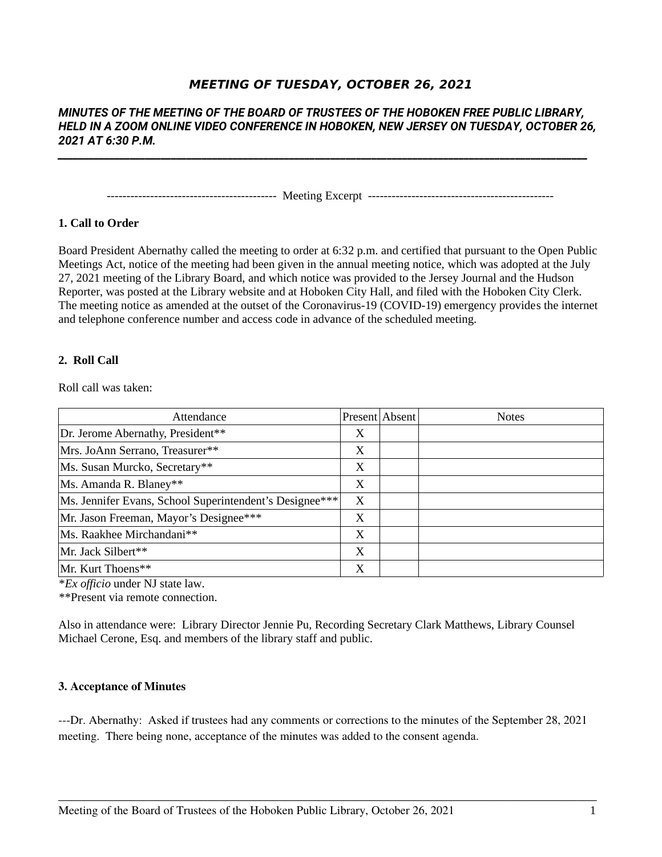# **MEETING OF TUESDAY, OCTOBER 26, 2021**

# *MINUTES OF THE MEETING OF THE BOARD OF TRUSTEES OF THE HOBOKEN FREE PUBLIC LIBRARY, HELD IN A ZOOM ONLINE VIDEO CONFERENCE IN HOBOKEN, NEW JERSEY ON TUESDAY, OCTOBER 26, 2021 AT 6:30 P.M.*

*\_\_\_\_\_\_\_\_\_\_\_\_\_\_\_\_\_\_\_\_\_\_\_\_\_\_\_\_\_\_\_\_\_\_\_\_\_\_\_\_\_\_\_\_\_\_\_\_\_\_\_\_\_\_\_\_\_\_\_\_\_\_\_\_\_\_\_\_\_\_\_\_\_\_\_\_\_\_\_\_\_\_\_\_\_\_\_\_\_\_\_\_\_\_\_\_\_\_\_\_\_\_\_*

------------------------------------------- Meeting Excerpt -----------------------------------------------

# **1. Call to Order**

Board President Abernathy called the meeting to order at 6:32 p.m. and certified that pursuant to the Open Public Meetings Act, notice of the meeting had been given in the annual meeting notice, which was adopted at the July 27, 2021 meeting of the Library Board, and which notice was provided to the Jersey Journal and the Hudson Reporter, was posted at the Library website and at Hoboken City Hall, and filed with the Hoboken City Clerk. The meeting notice as amended at the outset of the Coronavirus-19 (COVID-19) emergency provides the internet and telephone conference number and access code in advance of the scheduled meeting.

# **2. Roll Call**

Roll call was taken:

| Attendance                                              |   | Present Absent | <b>Notes</b> |
|---------------------------------------------------------|---|----------------|--------------|
| Dr. Jerome Abernathy, President**                       | X |                |              |
| Mrs. JoAnn Serrano, Treasurer**                         | X |                |              |
| Ms. Susan Murcko, Secretary**                           | X |                |              |
| Ms. Amanda R. Blaney**                                  | X |                |              |
| Ms. Jennifer Evans, School Superintendent's Designee*** | X |                |              |
| Mr. Jason Freeman, Mayor's Designee***                  | X |                |              |
| Ms. Raakhee Mirchandani**                               | X |                |              |
| Mr. Jack Silbert**                                      | X |                |              |
| Mr. Kurt Thoens**                                       | X |                |              |

\**Ex officio* under NJ state law.

\*\*Present via remote connection.

Also in attendance were: Library Director Jennie Pu, Recording Secretary Clark Matthews, Library Counsel Michael Cerone, Esq. and members of the library staff and public.

# **3. Acceptance of Minutes**

---Dr. Abernathy: Asked if trustees had any comments or corrections to the minutes of the September 28, 2021 meeting. There being none, acceptance of the minutes was added to the consent agenda.

\_\_\_\_\_\_\_\_\_\_\_\_\_\_\_\_\_\_\_\_\_\_\_\_\_\_\_\_\_\_\_\_\_\_\_\_\_\_\_\_\_\_\_\_\_\_\_\_\_\_\_\_\_\_\_\_\_\_\_\_\_\_\_\_\_\_\_\_\_\_\_\_\_\_\_\_\_\_\_\_\_\_\_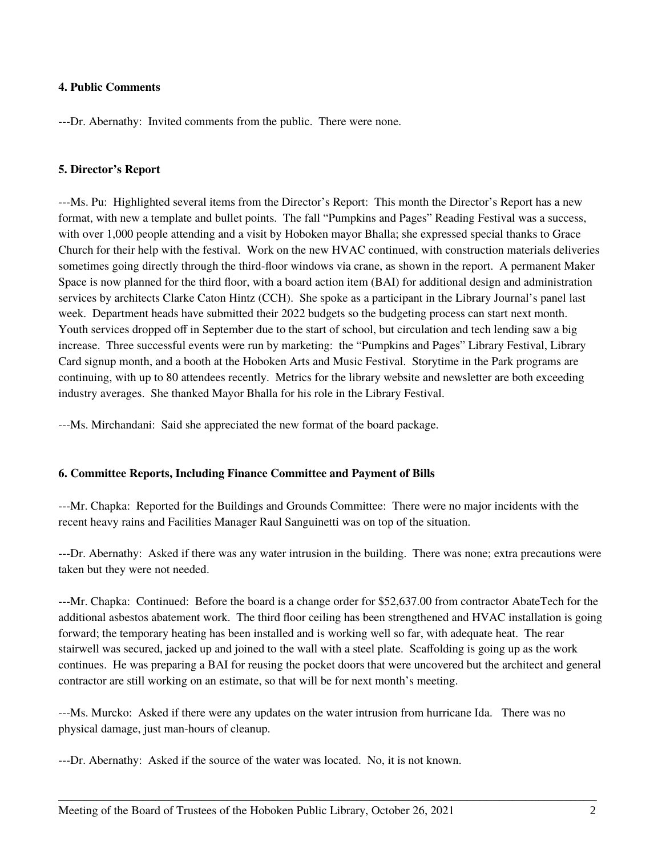# **4. Public Comments**

---Dr. Abernathy: Invited comments from the public. There were none.

# **5. Director's Report**

---Ms. Pu: Highlighted several items from the Director's Report: This month the Director's Report has a new format, with new a template and bullet points. The fall "Pumpkins and Pages" Reading Festival was a success, with over 1,000 people attending and a visit by Hoboken mayor Bhalla; she expressed special thanks to Grace Church for their help with the festival. Work on the new HVAC continued, with construction materials deliveries sometimes going directly through the third-floor windows via crane, as shown in the report. A permanent Maker Space is now planned for the third floor, with a board action item (BAI) for additional design and administration services by architects Clarke Caton Hintz (CCH). She spoke as a participant in the Library Journal's panel last week. Department heads have submitted their 2022 budgets so the budgeting process can start next month. Youth services dropped off in September due to the start of school, but circulation and tech lending saw a big increase. Three successful events were run by marketing: the "Pumpkins and Pages" Library Festival, Library Card signup month, and a booth at the Hoboken Arts and Music Festival. Storytime in the Park programs are continuing, with up to 80 attendees recently. Metrics for the library website and newsletter are both exceeding industry averages. She thanked Mayor Bhalla for his role in the Library Festival.

---Ms. Mirchandani: Said she appreciated the new format of the board package.

#### **6. Committee Reports, Including Finance Committee and Payment of Bills**

---Mr. Chapka: Reported for the Buildings and Grounds Committee: There were no major incidents with the recent heavy rains and Facilities Manager Raul Sanguinetti was on top of the situation.

---Dr. Abernathy: Asked if there was any water intrusion in the building. There was none; extra precautions were taken but they were not needed.

---Mr. Chapka: Continued: Before the board is a change order for \$52,637.00 from contractor AbateTech for the additional asbestos abatement work. The third floor ceiling has been strengthened and HVAC installation is going forward; the temporary heating has been installed and is working well so far, with adequate heat. The rear stairwell was secured, jacked up and joined to the wall with a steel plate. Scaffolding is going up as the work continues. He was preparing a BAI for reusing the pocket doors that were uncovered but the architect and general contractor are still working on an estimate, so that will be for next month's meeting.

---Ms. Murcko: Asked if there were any updates on the water intrusion from hurricane Ida. There was no physical damage, just man-hours of cleanup.

\_\_\_\_\_\_\_\_\_\_\_\_\_\_\_\_\_\_\_\_\_\_\_\_\_\_\_\_\_\_\_\_\_\_\_\_\_\_\_\_\_\_\_\_\_\_\_\_\_\_\_\_\_\_\_\_\_\_\_\_\_\_\_\_\_\_\_\_\_\_\_\_\_\_\_\_\_\_\_\_\_\_\_

---Dr. Abernathy: Asked if the source of the water was located. No, it is not known.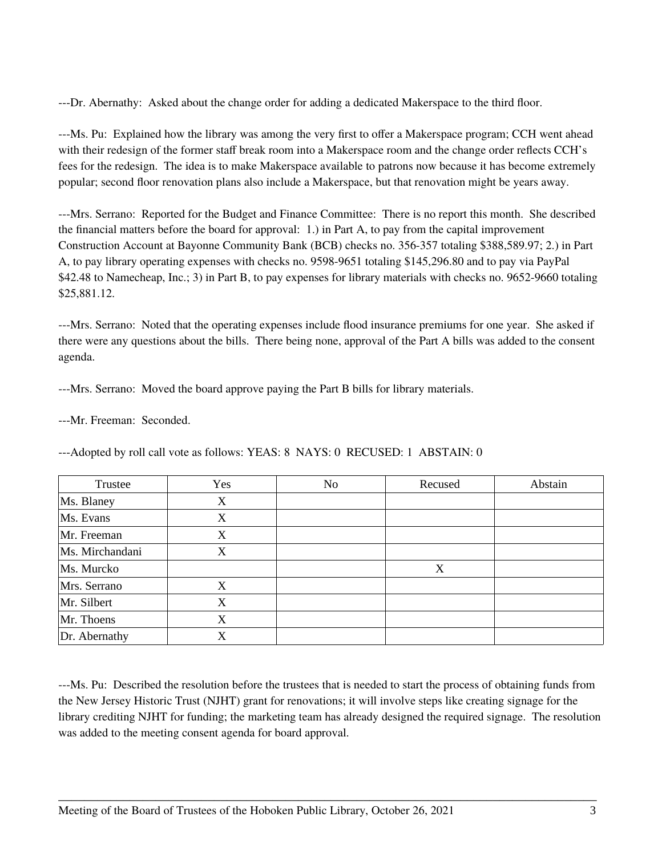---Dr. Abernathy: Asked about the change order for adding a dedicated Makerspace to the third floor.

---Ms. Pu: Explained how the library was among the very first to offer a Makerspace program; CCH went ahead with their redesign of the former staff break room into a Makerspace room and the change order reflects CCH's fees for the redesign. The idea is to make Makerspace available to patrons now because it has become extremely popular; second floor renovation plans also include a Makerspace, but that renovation might be years away.

---Mrs. Serrano: Reported for the Budget and Finance Committee: There is no report this month. She described the financial matters before the board for approval: 1.) in Part A, to pay from the capital improvement Construction Account at Bayonne Community Bank (BCB) checks no. 356-357 totaling \$388,589.97; 2.) in Part A, to pay library operating expenses with checks no. 9598-9651 totaling \$145,296.80 and to pay via PayPal \$42.48 to Namecheap, Inc.; 3) in Part B, to pay expenses for library materials with checks no. 9652-9660 totaling \$25,881.12.

---Mrs. Serrano: Noted that the operating expenses include flood insurance premiums for one year. She asked if there were any questions about the bills. There being none, approval of the Part A bills was added to the consent agenda.

---Mrs. Serrano: Moved the board approve paying the Part B bills for library materials.

---Mr. Freeman: Seconded.

| Trustee         | Yes | No | Recused | Abstain |
|-----------------|-----|----|---------|---------|
| Ms. Blaney      | Х   |    |         |         |
| Ms. Evans       | X   |    |         |         |
| Mr. Freeman     | X   |    |         |         |
| Ms. Mirchandani | X   |    |         |         |
| Ms. Murcko      |     |    | X       |         |
| Mrs. Serrano    | X   |    |         |         |
| Mr. Silbert     | X   |    |         |         |
| Mr. Thoens      | Х   |    |         |         |
| Dr. Abernathy   | X   |    |         |         |

---Adopted by roll call vote as follows: YEAS: 8 NAYS: 0 RECUSED: 1 ABSTAIN: 0

---Ms. Pu: Described the resolution before the trustees that is needed to start the process of obtaining funds from the New Jersey Historic Trust (NJHT) grant for renovations; it will involve steps like creating signage for the library crediting NJHT for funding; the marketing team has already designed the required signage. The resolution was added to the meeting consent agenda for board approval.

\_\_\_\_\_\_\_\_\_\_\_\_\_\_\_\_\_\_\_\_\_\_\_\_\_\_\_\_\_\_\_\_\_\_\_\_\_\_\_\_\_\_\_\_\_\_\_\_\_\_\_\_\_\_\_\_\_\_\_\_\_\_\_\_\_\_\_\_\_\_\_\_\_\_\_\_\_\_\_\_\_\_\_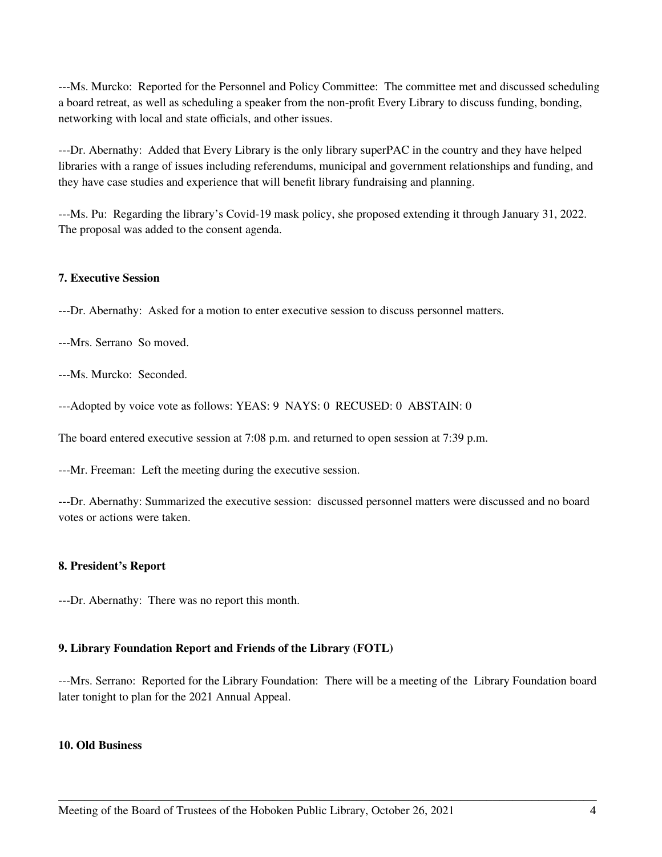---Ms. Murcko: Reported for the Personnel and Policy Committee: The committee met and discussed scheduling a board retreat, as well as scheduling a speaker from the non-profit Every Library to discuss funding, bonding, networking with local and state officials, and other issues.

---Dr. Abernathy: Added that Every Library is the only library superPAC in the country and they have helped libraries with a range of issues including referendums, municipal and government relationships and funding, and they have case studies and experience that will benefit library fundraising and planning.

---Ms. Pu: Regarding the library's Covid-19 mask policy, she proposed extending it through January 31, 2022. The proposal was added to the consent agenda.

# **7. Executive Session**

---Dr. Abernathy: Asked for a motion to enter executive session to discuss personnel matters.

---Mrs. Serrano So moved.

---Ms. Murcko: Seconded.

---Adopted by voice vote as follows: YEAS: 9 NAYS: 0 RECUSED: 0 ABSTAIN: 0

The board entered executive session at 7:08 p.m. and returned to open session at 7:39 p.m.

---Mr. Freeman: Left the meeting during the executive session.

---Dr. Abernathy: Summarized the executive session: discussed personnel matters were discussed and no board votes or actions were taken.

# **8. President's Report**

---Dr. Abernathy: There was no report this month.

# **9. Library Foundation Report and Friends of the Library (FOTL)**

---Mrs. Serrano: Reported for the Library Foundation: There will be a meeting of the Library Foundation board later tonight to plan for the 2021 Annual Appeal.

\_\_\_\_\_\_\_\_\_\_\_\_\_\_\_\_\_\_\_\_\_\_\_\_\_\_\_\_\_\_\_\_\_\_\_\_\_\_\_\_\_\_\_\_\_\_\_\_\_\_\_\_\_\_\_\_\_\_\_\_\_\_\_\_\_\_\_\_\_\_\_\_\_\_\_\_\_\_\_\_\_\_\_

# **10. Old Business**